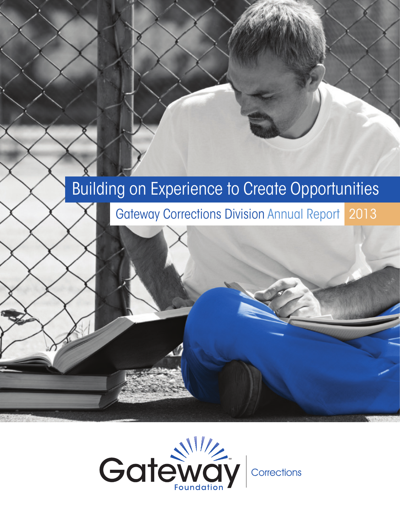# Building on Experience to Create Opportunities

Gateway Corrections Division Annual Report 2013

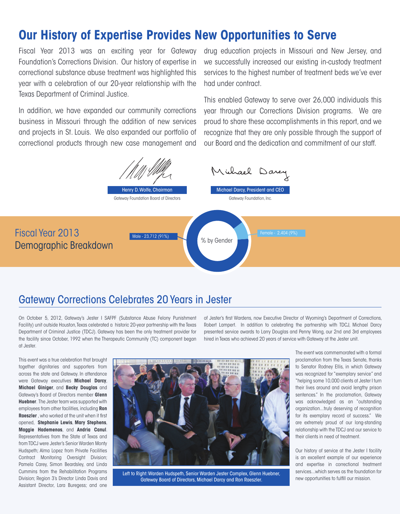### **Our History of Expertise Provides New Opportunities to Serve**

Fiscal Year 2013 was an exciting year for Gateway Foundation's Corrections Division. Our history of expertise in correctional substance abuse treatment was highlighted this year with a celebration of our 20-year relationship with the Texas Department of Criminal Justice.

In addition, we have expanded our community corrections business in Missouri through the addition of new services and projects in St. Louis. We also expanded our portfolio of correctional products through new case management and drug education projects in Missouri and New Jersey, and we successfully increased our existing in-custody treatment services to the highest number of treatment beds we've ever had under contract.

This enabled Gateway to serve over 26,000 individuals this year through our Corrections Division programs. We are proud to share these accomplishments in this report, and we recognize that they are only possible through the support of our Board and the dedication and commitment of our staff.



### Gateway Corrections Celebrates 20 Years in Jester

On October 5, 2012, Gateway's Jester I SAFPF (Substance Abuse Felony Punishment Facility) unit outside Houston, Texas celebrated a historic 20-year partnership with the Texas Department of Criminal Justice (TDCJ). Gateway has been the only treatment provider for the facility since October, 1992 when the Therapeutic Community (TC) component began at Jester.

of Jester's first Wardens, now Executive Director of Wyoming's Department of Corrections, Robert Lampert. In addition to celebrating the partnership with TDCJ, Michael Darcy presented service awards to Larry Douglas and Penny Wong, our 2nd and 3rd employees hired in Texas who achieved 20 years of service with Gateway at the Jester unit.

This event was a true celebration that brought together dignitaries and supporters from across the state and Gateway. In attendance were Gateway executives **Michael Darcy**, **Michael Giniger**, and **Becky Douglas** and Gateway's Board of Directors member **Glenn Huebner**. The Jester team was supported with employees from other facilities, including **Ron Raeszler** , who worked at the unit when it first opened, **Stephanie Lewis**, **Mary Stephens**, **Maggie Hademenos**, and **Andria Canul**. Representatives from the State of Texas and from TDCJ were Jester's Senior Warden Monty Hudspeth; Alma Lopez from Private Facilities Contract Monitoring Oversight Division; Pamela Carey, Simon Beardsley, and Linda Cummins from the Rehabilitation Programs Division; Region 3's Director Linda Davis and Assistant Director, Lara Buregess; and one



Left to Right: Warden Hudspeth, Senior Warden Jester Complex, Glenn Huebner, Gateway Board of Directors, Michael Darcy and Ron Raeszler.

The event was commemorated with a formal proclamation from the Texas Senate, thanks to Senator Rodney Ellis, in which Gateway was recognized for "exemplary service" and "helping some 10,000 clients at Jester I turn their lives around and avoid lengthy prison sentences." In the proclamation, Gateway was acknowledged as an "outstanding organization...truly deserving of recognition for its exemplary record of success." We are extremely proud of our long-standing relationship with the TDCJ and our service to their clients in need of treatment.

Our history of service at the Jester I facility is an excellent example of our experience and expertise in correctional treatment services...which serves as the foundation for new opportunities to fulfill our mission.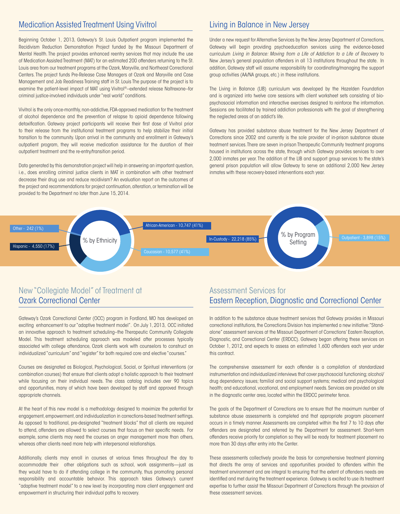#### Medication Assisted Treatment Using Vivitrol

Beginning October 1, 2013, Gateway's St. Louis Outpatient program implemented the Recidivism Reduction Demonstration Project funded by the Missouri Department of Mental Health. The project provides enhanced reentry services that may include the use of Medication Assisted Treatment (MAT) for an estimated 200 offenders returning to the St. Louis area from our treatment programs at the Ozark, Maryville, and Northeast Correctional Centers. The project funds Pre-Release Case Managers at Ozark and Maryville and Case Management and Job Readiness Training staff in St. Louis The purpose of the project is to examine the patient-level impact of MAT using Vivitrol®--extended release Naltrexone--for criminal justice-involved individuals under "real world" conditions.

Vivitrol is the only once-monthly, non-addictive, FDA-approved medication for the treatment of alcohol dependence and the prevention of relapse to opioid dependence following detoxification. Gateway project participants will receive their first dose of Vivitrol prior to their release from the institutional treatment programs to help stabilize their initial transition to the community. Upon arrival in the community and enrollment in Gateway's outpatient program, they will receive medication assistance for the duration of their outpatient treatment and the re-entry/transition period.

Data generated by this demonstration project will help in answering an important question, i.e., does enrolling criminal justice clients in MAT in combination with other treatment decrease their drug use and reduce recidivism? An evaluation report on the outcomes of the project and recommendations for project continuation, alteration, or termination will be provided to the Department no later than June 15, 2014.

#### Living in Balance in New Jersey

Under a new request for Alternative Services by the New Jersey Department of Corrections, Gateway will begin providing psychoeducation services using the evidence-based curriculum *Living in Balance: Moving from a Life of Addiction to a Life of Recovery* to New Jersey's general population offenders in all 13 institutions throughout the state. In addition, Gateway staff will assume responsibility for coordinating/managing the support group activities (AA/NA groups, etc.) in these institutions.

The Living in Balance (LIB) curriculum was developed by the Hazelden Foundation and is organized into twelve core sessions with client worksheet sets consisting of biopsychosocial information and interactive exercises designed to reinforce the information. Sessions are facilitated by trained addiction professionals with the goal of strengthening the neglected areas of an addict's life.

Gateway has provided substance abuse treatment for the New Jersey Department of Corrections since 2002 and currently is the sole provider of in-prison substance abuse treatment services. There are seven in-prison Therapeutic Community treatment programs housed in institutions across the state, through which Gateway provides services to over 2,000 inmates per year. The addition of the LIB and support group services to the state's general prison population will allow Gateway to serve an additional 2,000 New Jersey inmates with these recovery-based interventions each year.



### New "Collegiate Model" of Treatment at Ozark Correctional Center

Gateway's Ozark Correctional Center (OCC) program in Fordland, MO has developed an exciting enhancement to our "adaptive treatment model". On July 1, 2013, OCC initiated an innovative approach to treatment scheduling--the Therapeutic Community Collegiate Model. This treatment scheduling approach was modeled after processes typically associated with college attendance, Ozark clients work with counselors to construct an individualized "curriculum" and "register" for both required core and elective "courses."

Courses are designated as Biological, Psychological, Social, or Spiritual interventions (or combination courses) that ensure that clients adopt a holistic approach to their treatment while focusing on their individual needs. The class catalog includes over 90 topics and opportunities, many of which have been developed by staff and approved through appropriate channels.

At the heart of this new model is a methodology designed to maximize the potential for engagement, empowerment, and individualization in corrections-based treatment settings. As opposed to traditional, pre-designated "treatment blocks" that all clients are required to attend, offenders are allowed to select courses that focus on their specific needs. For example, some clients may need the courses on anger management more than others, whereas other clients need more help with interpersonal relationships.

Additionally, clients may enroll in courses at various times throughout the day to accommodate their other obligations such as school, work assignments—just as they would have to do if attending college in the community, thus promoting personal responsibility and accountable behavior. This approach takes Gateway's current "adaptive treatment model" to a new level by incorporating more client engagement and empowerment in structuring their individual paths to recovery.

### Assessment Services for Eastern Reception, Diagnostic and Correctional Center

In addition to the substance abuse treatment services that Gateway provides in Missouri correctional institutions, the Corrections Division has implemented a new initiative: "Standalone" assessment services at the Missouri Department of Corrections' Eastern Reception, Diagnostic, and Correctional Center (ERDCC). Gateway began offering these services on October 1, 2012, and expects to assess an estimated 1,600 offenders each year under this contract.

The comprehensive assessment for each offender is a compilation of standardized instrumentation and individualized interviews that cover psychosocial functioning; alcohol/ drug dependency issues; familial and social support systems; medical and psychological health; and educational, vocational, and employment needs. Services are provided on site in the diagnostic center area, located within the ERDCC perimeter fence.

The goals of the Department of Corrections are to ensure that the maximum number of substance abuse assessments is completed and that appropriate program placement occurs in a timely manner. Assessments are completed within the first 7 to 10 days after offenders are designated and referred by the Department for assessment. Short-term offenders receive priority for completion so they will be ready for treatment placement no more than 30 days after entry into the Center.

These assessments collectively provide the basis for comprehensive treatment planning that directs the array of services and opportunities provided to offenders within the treatment environment and are integral to ensuring that the extent of offenders needs are identified and met during the treatment experience. Gateway is excited to use its treatment expertise to further assist the Missouri Department of Corrections through the provision of these assessment services.